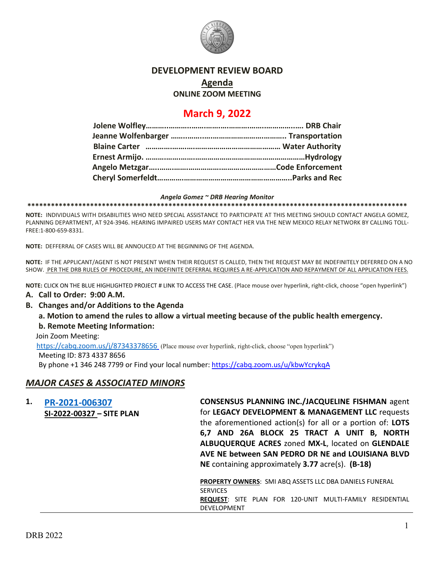

## **DEVELOPMENT REVIEW BOARD**

**Agenda**

**ONLINE ZOOM MEETING**

# **March 9, 2022**

#### *Angela Gomez ~ DRB Hearing Monitor*

**\*\*\*\*\*\*\*\*\*\*\*\*\*\*\*\*\*\*\*\*\*\*\*\*\*\*\*\*\*\*\*\*\*\*\*\*\*\*\*\*\*\*\*\*\*\*\*\*\*\*\*\*\*\*\*\*\*\*\*\*\*\*\*\*\*\*\*\*\*\*\*\*\*\*\*\*\*\*\*\*\*\*\*\*\*\*\*\*\*\*\*\*\*\*\*\*\***

**NOTE:** INDIVIDUALS WITH DISABILITIES WHO NEED SPECIAL ASSISTANCE TO PARTICIPATE AT THIS MEETING SHOULD CONTACT ANGELA GOMEZ, PLANNING DEPARTMENT, AT 924-3946. HEARING IMPAIRED USERS MAY CONTACT HER VIA THE NEW MEXICO RELAY NETWORK BY CALLING TOLL-FREE:1-800-659-8331.

**NOTE:** DEFFERRAL OF CASES WILL BE ANNOUCED AT THE BEGINNING OF THE AGENDA.

**NOTE:** IF THE APPLICANT/AGENT IS NOT PRESENT WHEN THEIR REQUEST IS CALLED, THEN THE REQUEST MAY BE INDEFINITELY DEFERRED ON A NO SHOW. PER THE DRB RULES OF PROCEDURE, AN INDEFINITE DEFERRAL REQUIRES A RE-APPLICATION AND REPAYMENT OF ALL APPLICATION FEES.

**NOTE:** CLICK ON THE BLUE HIGHLIGHTED PROJECT # LINK TO ACCESS THE CASE. (Place mouse over hyperlink, right-click, choose "open hyperlink")

### **A. Call to Order: 9:00 A.M.**

- **B. Changes and/or Additions to the Agenda**
	- **a. Motion to amend the rules to allow a virtual meeting because of the public health emergency.**

### **b. Remote Meeting Information:**

Join Zoom Meeting:

<https://cabq.zoom.us/j/87343378656> (Place mouse over hyperlink, right-click, choose "open hyperlink")

Meeting ID: 873 4337 8656

By phone +1 346 248 7799 or Find your local number:<https://cabq.zoom.us/u/kbwYcrykqA>

### *MAJOR CASES & ASSOCIATED MINORS*

| 1. | PR-2021-006307<br>SI-2022-00327 - SITE PLAN | <b>CONSENSUS PLANNING INC./JACQUELINE FISHMAN agent</b><br>for LEGACY DEVELOPMENT & MANAGEMENT LLC requests<br>the aforementioned action(s) for all or a portion of: LOTS<br>6,7 AND 26A BLOCK 25 TRACT A UNIT B, NORTH<br>ALBUQUERQUE ACRES zoned MX-L, located on GLENDALE<br>AVE NE between SAN PEDRO DR NE and LOUISIANA BLVD<br>NE containing approximately 3.77 acre(s). (B-18) |
|----|---------------------------------------------|---------------------------------------------------------------------------------------------------------------------------------------------------------------------------------------------------------------------------------------------------------------------------------------------------------------------------------------------------------------------------------------|
|    |                                             | <b>PROPERTY OWNERS: SMI ABQ ASSETS LLC DBA DANIELS FUNERAL</b><br><b>SERVICES</b><br>REQUEST: SITE PLAN FOR 120-UNIT MULTI-FAMILY RESIDENTIAL<br><b>DEVELOPMENT</b>                                                                                                                                                                                                                   |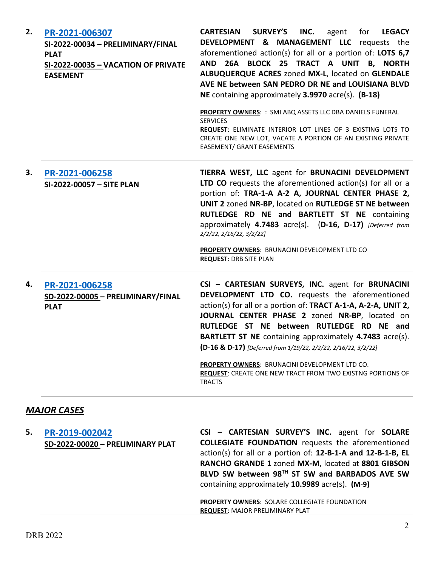| 2. | PR-2021-006307<br>SI-2022-00034 - PRELIMINARY/FINAL<br><b>PLAT</b><br>SI-2022-00035 - VACATION OF PRIVATE<br><b>EASEMENT</b> | <b>SURVEY'S</b><br><b>CARTESIAN</b><br>INC.<br>for<br>agent<br><b>LEGACY</b><br>DEVELOPMENT & MANAGEMENT LLC requests the<br>aforementioned action(s) for all or a portion of: LOTS 6,7<br>26A BLOCK 25 TRACT A UNIT B, NORTH<br>AND<br>ALBUQUERQUE ACRES zoned MX-L, located on GLENDALE<br>AVE NE between SAN PEDRO DR NE and LOUISIANA BLVD<br>NE containing approximately 3.9970 acre(s). (B-18)<br>PROPERTY OWNERS: : SMI ABQ ASSETS LLC DBA DANIELS FUNERAL<br><b>SERVICES</b><br>REQUEST: ELIMINATE INTERIOR LOT LINES OF 3 EXISTING LOTS TO<br>CREATE ONE NEW LOT, VACATE A PORTION OF AN EXISTING PRIVATE<br><b>EASEMENT/ GRANT EASEMENTS</b> |
|----|------------------------------------------------------------------------------------------------------------------------------|--------------------------------------------------------------------------------------------------------------------------------------------------------------------------------------------------------------------------------------------------------------------------------------------------------------------------------------------------------------------------------------------------------------------------------------------------------------------------------------------------------------------------------------------------------------------------------------------------------------------------------------------------------|
| 3. | PR-2021-006258<br>SI-2022-00057 - SITE PLAN                                                                                  | TIERRA WEST, LLC agent for BRUNACINI DEVELOPMENT<br>LTD CO requests the aforementioned action(s) for all or a<br>portion of: TRA-1-A A-2 A, JOURNAL CENTER PHASE 2,<br>UNIT 2 zoned NR-BP, located on RUTLEDGE ST NE between<br>RUTLEDGE RD NE and BARTLETT ST NE containing<br>approximately 4.7483 acre(s). (D-16, D-17) [Deferred from<br>2/2/22, 2/16/22, 3/2/22]<br>PROPERTY OWNERS: BRUNACINI DEVELOPMENT LTD CO<br><b>REQUEST: DRB SITE PLAN</b>                                                                                                                                                                                                |
| 4. | PR-2021-006258<br>SD-2022-00005 - PRELIMINARY/FINAL<br><b>PLAT</b>                                                           | CSI - CARTESIAN SURVEYS, INC. agent for BRUNACINI<br>DEVELOPMENT LTD CO. requests the aforementioned<br>action(s) for all or a portion of: TRACT A-1-A, A-2-A, UNIT 2,<br>JOURNAL CENTER PHASE 2 zoned NR-BP, located on<br>RUTLEDGE ST NE between RUTLEDGE RD NE and<br>BARTLETT ST NE containing approximately 4.7483 acre(s).<br>(D-16 & D-17) [Deferred from 1/19/22, 2/2/22, 2/16/22, 3/2/22]<br>PROPERTY OWNERS: BRUNACINI DEVELOPMENT LTD CO.<br><b>REQUEST: CREATE ONE NEW TRACT FROM TWO EXISTNG PORTIONS OF</b><br><b>TRACTS</b>                                                                                                             |
|    | <b>MAJOR CASES</b>                                                                                                           |                                                                                                                                                                                                                                                                                                                                                                                                                                                                                                                                                                                                                                                        |
| 5. | PR-2019-002042<br>SD-2022-00020 - PRELIMINARY PLAT                                                                           | CSI - CARTESIAN SURVEY'S INC. agent for SOLARE<br><b>COLLEGIATE FOUNDATION</b> requests the aforementioned<br>action(s) for all or a portion of: 12-B-1-A and 12-B-1-B, EL                                                                                                                                                                                                                                                                                                                                                                                                                                                                             |

**RANCHO GRANDE 1** zoned **MX-M**, located at **8801 GIBSON BLVD SW between 98TH ST SW and BARBADOS AVE SW**  containing approximately **10.9989** acre(s). **(M-9)**

**PROPERTY OWNERS**: SOLARE COLLEGIATE FOUNDATION **REQUEST**: MAJOR PRELIMINARY PLAT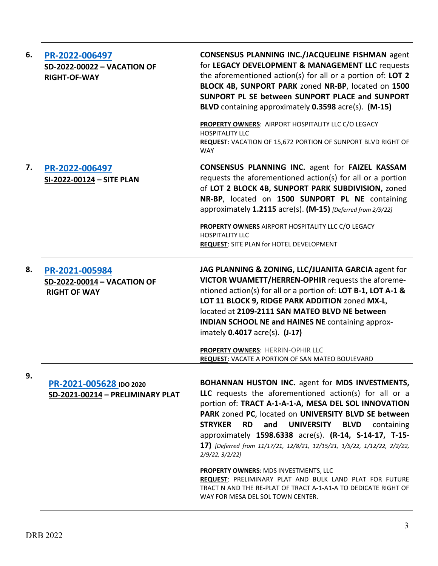| 6. | PR-2022-006497<br><b>SD-2022-00022 - VACATION OF</b><br><b>RIGHT-OF-WAY</b> | <b>CONSENSUS PLANNING INC./JACQUELINE FISHMAN agent</b><br>for LEGACY DEVELOPMENT & MANAGEMENT LLC requests<br>the aforementioned action(s) for all or a portion of: LOT 2<br>BLOCK 4B, SUNPORT PARK zoned NR-BP, located on 1500<br>SUNPORT PL SE between SUNPORT PLACE and SUNPORT<br>BLVD containing approximately 0.3598 acre(s). (M-15)                                                                                                                                                                       |
|----|-----------------------------------------------------------------------------|--------------------------------------------------------------------------------------------------------------------------------------------------------------------------------------------------------------------------------------------------------------------------------------------------------------------------------------------------------------------------------------------------------------------------------------------------------------------------------------------------------------------|
|    |                                                                             | PROPERTY OWNERS: AIRPORT HOSPITALITY LLC C/O LEGACY<br><b>HOSPITALITY LLC</b><br>REQUEST: VACATION OF 15,672 PORTION OF SUNPORT BLVD RIGHT OF<br><b>WAY</b>                                                                                                                                                                                                                                                                                                                                                        |
| 7. | PR-2022-006497<br>SI-2022-00124 - SITE PLAN                                 | <b>CONSENSUS PLANNING INC. agent for FAIZEL KASSAM</b><br>requests the aforementioned action(s) for all or a portion<br>of LOT 2 BLOCK 4B, SUNPORT PARK SUBDIVISION, zoned<br>NR-BP, located on 1500 SUNPORT PL NE containing<br>approximately 1.2115 acre(s). (M-15) [Deferred from 2/9/22]                                                                                                                                                                                                                       |
|    |                                                                             | PROPERTY OWNERS AIRPORT HOSPITALITY LLC C/O LEGACY<br><b>HOSPITALITY LLC</b><br><b>REQUEST: SITE PLAN for HOTEL DEVELOPMENT</b>                                                                                                                                                                                                                                                                                                                                                                                    |
| 8. | PR-2021-005984<br>SD-2022-00014 - VACATION OF<br><b>RIGHT OF WAY</b>        | JAG PLANNING & ZONING, LLC/JUANITA GARCIA agent for<br>VICTOR WUAMETT/HERREN-OPHIR requests the aforeme-<br>ntioned action(s) for all or a portion of: LOT B-1, LOT A-1 &<br>LOT 11 BLOCK 9, RIDGE PARK ADDITION zoned MX-L,<br>located at 2109-2111 SAN MATEO BLVD NE between<br><b>INDIAN SCHOOL NE and HAINES NE containing approx-</b><br>imately 0.4017 acre(s). (J-17)                                                                                                                                       |
|    |                                                                             | PROPERTY OWNERS: HERRIN-OPHIR LLC<br><b>REQUEST: VACATE A PORTION OF SAN MATEO BOULEVARD</b>                                                                                                                                                                                                                                                                                                                                                                                                                       |
| 9. | PR-2021-005628 IDO 2020<br>SD-2021-00214 - PRELIMINARY PLAT                 | BOHANNAN HUSTON INC. agent for MDS INVESTMENTS,<br>LLC requests the aforementioned action(s) for all or a<br>portion of: TRACT A-1-A-1-A, MESA DEL SOL INNOVATION<br>PARK zoned PC, located on UNIVERSITY BLVD SE between<br><b>STRYKER</b><br><b>RD</b><br>and<br><b>UNIVERSITY</b><br><b>BLVD</b><br>containing<br>approximately 1598.6338 acre(s). (R-14, S-14-17, T-15-<br>17) [Deferred from 11/17/21, 12/8/21, 12/15/21, 1/5/22, 1/12/22, 2/2/22,<br>2/9/22, 3/2/22<br>PROPERTY OWNERS: MDS INVESTMENTS, LLC |
|    |                                                                             | REQUEST: PRELIMINARY PLAT AND BULK LAND PLAT FOR FUTURE<br>TRACT N AND THE RE-PLAT OF TRACT A-1-A1-A TO DEDICATE RIGHT OF<br>WAY FOR MESA DEL SOL TOWN CENTER.                                                                                                                                                                                                                                                                                                                                                     |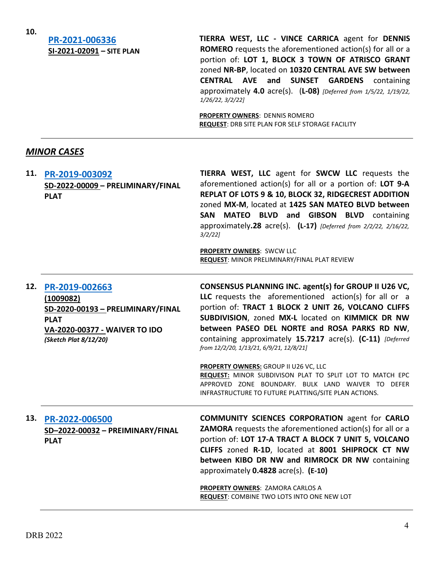**10.**

## **[PR-2021-006336](http://data.cabq.gov/government/planning/DRB/PR-2021-006336/DRB%20Submittals/) SI-2021-02091 – SITE PLAN**

**TIERRA WEST, LLC - VINCE CARRICA** agent for **DENNIS ROMERO** requests the aforementioned action(s) for all or a portion of: **LOT 1, BLOCK 3 TOWN OF ATRISCO GRANT**  zoned **NR-BP**, located on **10320 CENTRAL AVE SW between CENTRAL AVE and SUNSET GARDENS** containing approximately **4.0** acre(s). (**L-08)** *[Deferred from 1/5/22, 1/19/22, 1/26/22, 3/2/22]*

**PROPERTY OWNERS**: DENNIS ROMERO **REQUEST**: DRB SITE PLAN FOR SELF STORAGE FACILITY

## *MINOR CASES*

| 11. | PR-2019-003092<br>SD-2022-00009 - PRELIMINARY/FINAL<br><b>PLAT</b>                                                                        | TIERRA WEST, LLC agent for SWCW LLC requests the<br>aforementioned action(s) for all or a portion of: LOT 9-A<br>REPLAT OF LOTS 9 & 10, BLOCK 32, RIDGECREST ADDITION<br>zoned MX-M, located at 1425 SAN MATEO BLVD between<br>MATEO BLVD and GIBSON BLVD containing<br>SAN<br>approximately.28 $\arccos 0$ . (L-17) [Deferred from 2/2/22, 2/16/22,<br>$3/2/22$ ]<br>PROPERTY OWNERS: SWCW LLC<br>REQUEST: MINOR PRELIMINARY/FINAL PLAT REVIEW |
|-----|-------------------------------------------------------------------------------------------------------------------------------------------|-------------------------------------------------------------------------------------------------------------------------------------------------------------------------------------------------------------------------------------------------------------------------------------------------------------------------------------------------------------------------------------------------------------------------------------------------|
| 12. | PR-2019-002663<br>(1009082)<br>SD-2020-00193 - PRELIMINARY/FINAL<br><b>PLAT</b><br>VA-2020-00377 - WAIVER TO IDO<br>(Sketch Plat 8/12/20) | CONSENSUS PLANNING INC. agent(s) for GROUP II U26 VC,<br>LLC requests the aforementioned action(s) for all or a<br>portion of: TRACT 1 BLOCK 2 UNIT 26, VOLCANO CLIFFS<br>SUBDIVISION, zoned MX-L located on KIMMICK DR NW<br>between PASEO DEL NORTE and ROSA PARKS RD NW,<br>containing approximately 15.7217 acre(s). (C-11) [Deferred<br>from 12/2/20, 1/13/21, 6/9/21, 12/8/21]                                                            |
|     |                                                                                                                                           | PROPERTY OWNERS: GROUP II U26 VC, LLC<br>REQUEST: MINOR SUBDIVISON PLAT TO SPLIT LOT TO MATCH EPC<br>APPROVED ZONE BOUNDARY. BULK LAND WAIVER TO DEFER<br>INFRASTRUCTURE TO FUTURE PLATTING/SITE PLAN ACTIONS.                                                                                                                                                                                                                                  |
| 13. | PR-2022-006500<br>SD-2022-00032 - PREIMINARY/FINAL<br><b>PLAT</b>                                                                         | <b>COMMUNITY SCIENCES CORPORATION agent for CARLO</b><br><b>ZAMORA</b> requests the aforementioned action(s) for all or a<br>portion of: LOT 17-A TRACT A BLOCK 7 UNIT 5, VOLCANO<br>CLIFFS zoned R-1D, located at 8001 SHIPROCK CT NW<br>between KIBO DR NW and RIMROCK DR NW containing<br>approximately 0.4828 acre(s). (E-10)<br>PROPERTY OWNERS: ZAMORA CARLOS A<br>REQUEST: COMBINE TWO LOTS INTO ONE NEW LOT                             |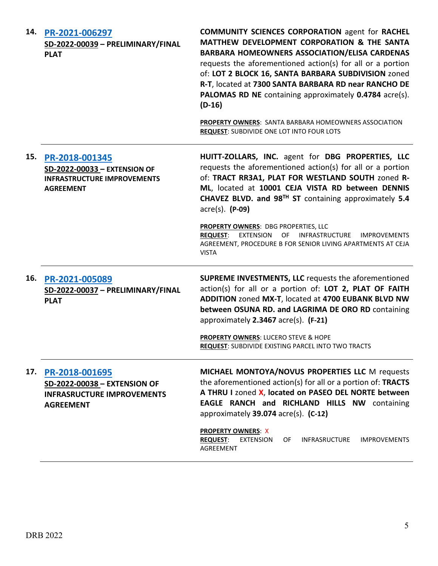| 14. | PR-2021-006297<br>SD-2022-00039 - PRELIMINARY/FINAL<br><b>PLAT</b>                                       | <b>COMMUNITY SCIENCES CORPORATION agent for RACHEL</b><br>MATTHEW DEVELOPMENT CORPORATION & THE SANTA<br><b>BARBARA HOMEOWNERS ASSOCIATION/ELISA CARDENAS</b><br>requests the aforementioned action(s) for all or a portion<br>of: LOT 2 BLOCK 16, SANTA BARBARA SUBDIVISION zoned<br>R-T, located at 7300 SANTA BARBARA RD near RANCHO DE<br>PALOMAS RD NE containing approximately 0.4784 acre(s).<br>$(D-16)$<br><b>PROPERTY OWNERS: SANTA BARBARA HOMEOWNERS ASSOCIATION</b><br><b>REQUEST: SUBDIVIDE ONE LOT INTO FOUR LOTS</b> |
|-----|----------------------------------------------------------------------------------------------------------|--------------------------------------------------------------------------------------------------------------------------------------------------------------------------------------------------------------------------------------------------------------------------------------------------------------------------------------------------------------------------------------------------------------------------------------------------------------------------------------------------------------------------------------|
| 15. | PR-2018-001345<br>SD-2022-00033 - EXTENSION OF<br><b>INFRASTRUCTURE IMPROVEMENTS</b><br><b>AGREEMENT</b> | HUITT-ZOLLARS, INC. agent for DBG PROPERTIES, LLC<br>requests the aforementioned action(s) for all or a portion<br>of: TRACT RR3A1, PLAT FOR WESTLAND SOUTH zoned R-<br>ML, located at 10001 CEJA VISTA RD between DENNIS<br>CHAVEZ BLVD. and 98 <sup>TH</sup> ST containing approximately 5.4<br>$\arccos 0$ . (P-09)                                                                                                                                                                                                               |
|     |                                                                                                          | PROPERTY OWNERS: DBG PROPERTIES, LLC<br>REQUEST: EXTENSION OF INFRASTRUCTURE IMPROVEMENTS<br>AGREEMENT, PROCEDURE B FOR SENIOR LIVING APARTMENTS AT CEJA<br><b>VISTA</b>                                                                                                                                                                                                                                                                                                                                                             |
| 16. | PR-2021-005089<br>SD-2022-00037 - PRELIMINARY/FINAL<br><b>PLAT</b>                                       | <b>SUPREME INVESTMENTS, LLC</b> requests the aforementioned<br>action(s) for all or a portion of: LOT 2, PLAT OF FAITH<br>ADDITION zoned MX-T, located at 4700 EUBANK BLVD NW<br>between OSUNA RD. and LAGRIMA DE ORO RD containing<br>approximately 2.3467 acre(s). (F-21)<br><b>PROPERTY OWNERS: LUCERO STEVE &amp; HOPE</b><br><b>REQUEST: SUBDIVIDE EXISTING PARCEL INTO TWO TRACTS</b>                                                                                                                                          |
| 17. | PR-2018-001695<br>SD-2022-00038 - EXTENSION OF<br><b>INFRASRUCTURE IMPROVEMENTS</b><br><b>AGREEMENT</b>  | MICHAEL MONTOYA/NOVUS PROPERTIES LLC M requests<br>the aforementioned action(s) for all or a portion of: TRACTS<br>A THRU I zoned X, located on PASEO DEL NORTE between<br>EAGLE RANCH and RICHLAND HILLS NW containing<br>approximately 39.074 acre(s). (C-12)<br><b>PROPERTY OWNERS: X</b>                                                                                                                                                                                                                                         |
|     |                                                                                                          | <b>EXTENSION</b><br><b>REQUEST:</b><br>OF.<br><b>INFRASRUCTURE</b><br><b>IMPROVEMENTS</b><br>AGREEMENT                                                                                                                                                                                                                                                                                                                                                                                                                               |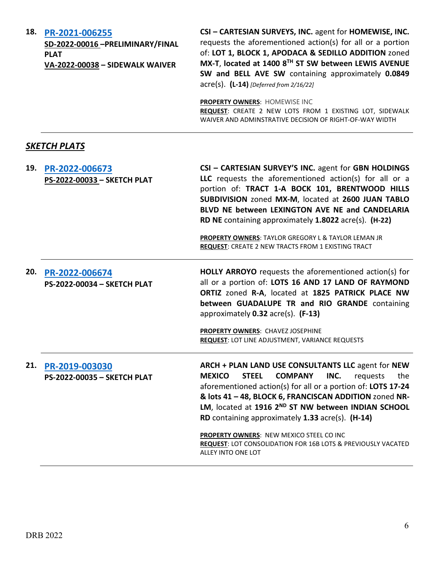**18. [PR-2021-006255](http://data.cabq.gov/government/planning/DRB/PR-2021-006255/DRB%20Submittals/)**

**SD-2022-00016 –PRELIMINARY/FINAL PLAT VA-2022-00038 – SIDEWALK WAIVER**

**CSI – CARTESIAN SURVEYS, INC.** agent for **HOMEWISE, INC.** requests the aforementioned action(s) for all or a portion of: **LOT 1, BLOCK 1, APODACA & SEDILLO ADDITION** zoned **MX-T**, **located at 1400 8TH ST SW between LEWIS AVENUE SW and BELL AVE SW** containing approximately **0.0849** acre(s). **(L-14)** *[Deferred from 2/16/22]*

**PROPERTY OWNERS**: HOMEWISE INC **REQUEST**: CREATE 2 NEW LOTS FROM 1 EXISTING LOT, SIDEWALK WAIVER AND ADMINSTRATIVE DECISION OF RIGHT-OF-WAY WIDTH

## *SKETCH PLATS*

| 19. | PR-2022-006673<br>PS-2022-00033 - SKETCH PLAT | CSI - CARTESIAN SURVEY'S INC. agent for GBN HOLDINGS<br>LLC requests the aforementioned action(s) for all or a<br>portion of: TRACT 1-A BOCK 101, BRENTWOOD HILLS<br>SUBDIVISION zoned MX-M, located at 2600 JUAN TABLO<br>BLVD NE between LEXINGTON AVE NE and CANDELARIA<br>RD NE containing approximately 1.8022 acre(s). (H-22)<br>PROPERTY OWNERS: TAYLOR GREGORY L & TAYLOR LEMAN JR<br>REQUEST: CREATE 2 NEW TRACTS FROM 1 EXISTING TRACT                                                        |
|-----|-----------------------------------------------|---------------------------------------------------------------------------------------------------------------------------------------------------------------------------------------------------------------------------------------------------------------------------------------------------------------------------------------------------------------------------------------------------------------------------------------------------------------------------------------------------------|
| 20. | PR-2022-006674<br>PS-2022-00034 - SKETCH PLAT | <b>HOLLY ARROYO</b> requests the aforementioned action(s) for<br>all or a portion of: LOTS 16 AND 17 LAND OF RAYMOND<br>ORTIZ zoned R-A, located at 1825 PATRICK PLACE NW<br>between GUADALUPE TR and RIO GRANDE containing<br>approximately 0.32 acre(s). (F-13)<br>PROPERTY OWNERS: CHAVEZ JOSEPHINE<br>REQUEST: LOT LINE ADJUSTMENT, VARIANCE REQUESTS                                                                                                                                               |
| 21. | PR-2019-003030<br>PS-2022-00035 - SKETCH PLAT | ARCH + PLAN LAND USE CONSULTANTS LLC agent for NEW<br><b>STEEL</b><br><b>COMPANY</b><br><b>MEXICO</b><br>INC.<br>requests<br>the<br>aforementioned action(s) for all or a portion of: LOTS 17-24<br>& lots 41 - 48, BLOCK 6, FRANCISCAN ADDITION zoned NR-<br>LM, located at 1916 2ND ST NW between INDIAN SCHOOL<br>RD containing approximately 1.33 acre(s). (H-14)<br>PROPERTY OWNERS: NEW MEXICO STEEL CO INC<br>REQUEST: LOT CONSOLIDATION FOR 16B LOTS & PREVIOUSLY VACATED<br>ALLEY INTO ONE LOT |